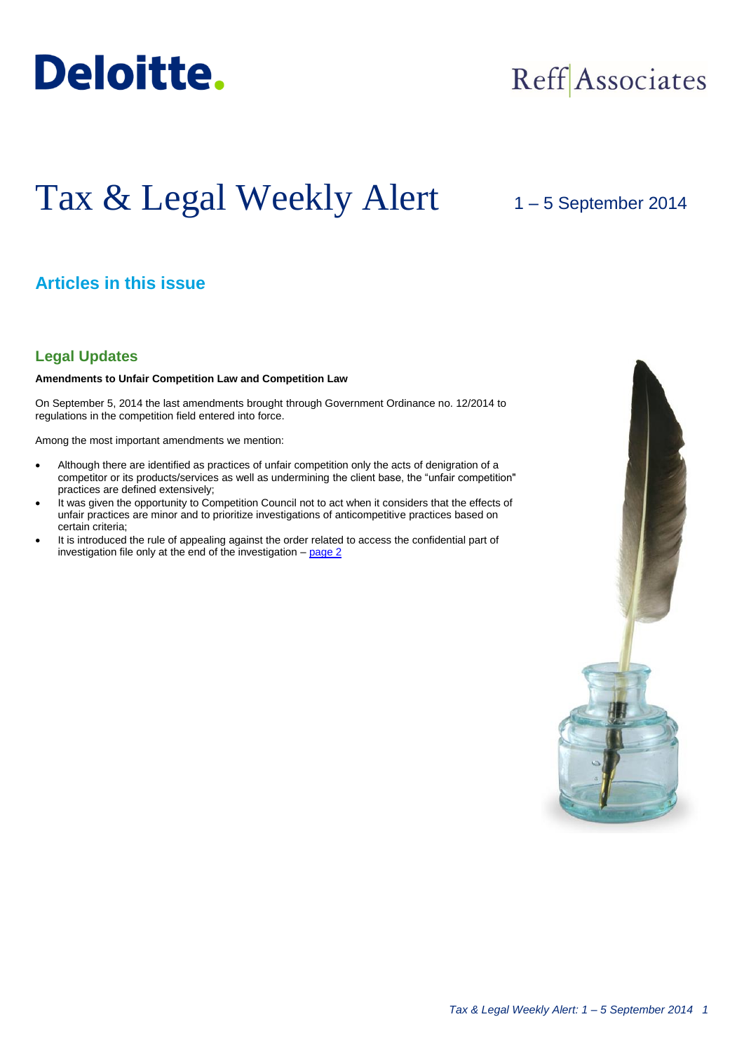

## Reff Associates

# Tax & Legal Weekly Alert

## 1 – 5 September 2014

## **Articles in this issue**

## **Legal Updates**

#### **Amendments to Unfair Competition Law and Competition Law**

On September 5, 2014 the last amendments brought through Government Ordinance no. 12/2014 to regulations in the competition field entered into force.

Among the most important amendments we mention:

- Although there are identified as practices of unfair competition only the acts of denigration of a competitor or its products/services as well as undermining the client base, the "unfair competition" practices are defined extensively;
- It was given the opportunity to Competition Council not to act when it considers that the effects of unfair practices are minor and to prioritize investigations of anticompetitive practices based on certain criteria;
- It is introduced the rule of appealing against the order related to access the confidential part of investigation file only at the end of the investigation  $-$  page  $2$

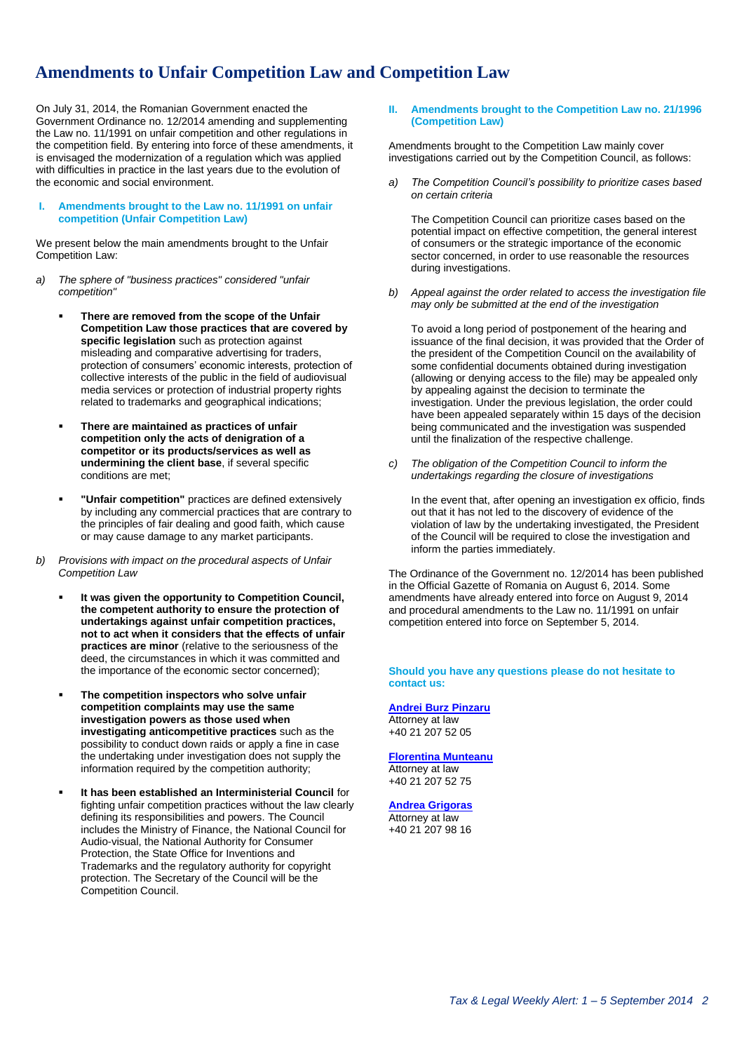## **Amendments to Unfair Competition Law and Competition Law**

On July 31, 2014, the Romanian Government enacted the Government Ordinance no. 12/2014 amending and supplementing the Law no. 11/1991 on unfair competition and other regulations in the competition field. By entering into force of these amendments, it is envisaged the modernization of a regulation which was applied with difficulties in practice in the last years due to the evolution of the economic and social environment.

#### **I. Amendments brought to the Law no. 11/1991 on unfair competition (Unfair Competition Law)**

We present below the main amendments brought to the Unfair Competition Law:

- *a) The sphere of "business practices" considered "unfair competition"*
	- **There are removed from the scope of the Unfair Competition Law those practices that are covered by specific legislation** such as protection against misleading and comparative advertising for traders, protection of consumers' economic interests, protection of collective interests of the public in the field of audiovisual media services or protection of industrial property rights related to trademarks and geographical indications;
	- **There are maintained as practices of unfair competition only the acts of denigration of a competitor or its products/services as well as undermining the client base**, if several specific conditions are met;
	- **"Unfair competition"** practices are defined extensively by including any commercial practices that are contrary to the principles of fair dealing and good faith, which cause or may cause damage to any market participants.
- *b) Provisions with impact on the procedural aspects of Unfair Competition Law*
	- **It was given the opportunity to Competition Council, the competent authority to ensure the protection of undertakings against unfair competition practices, not to act when it considers that the effects of unfair practices are minor** (relative to the seriousness of the deed, the circumstances in which it was committed and the importance of the economic sector concerned);
	- **The competition inspectors who solve unfair competition complaints may use the same investigation powers as those used when investigating anticompetitive practices** such as the possibility to conduct down raids or apply a fine in case the undertaking under investigation does not supply the information required by the competition authority;
	- **It has been established an Interministerial Council** for fighting unfair competition practices without the law clearly defining its responsibilities and powers. The Council includes the Ministry of Finance, the National Council for Audio-visual, the National Authority for Consumer Protection, the State Office for Inventions and Trademarks and the regulatory authority for copyright protection. The Secretary of the Council will be the Competition Council.

#### <span id="page-1-0"></span>**II. Amendments brought to the Competition Law no. 21/1996 (Competition Law)**

Amendments brought to the Competition Law mainly cover investigations carried out by the Competition Council, as follows:

*a) The Competition Council's possibility to prioritize cases based on certain criteria*

The Competition Council can prioritize cases based on the potential impact on effective competition, the general interest of consumers or the strategic importance of the economic sector concerned, in order to use reasonable the resources during investigations.

*b) Appeal against the order related to access the investigation file may only be submitted at the end of the investigation*

To avoid a long period of postponement of the hearing and issuance of the final decision, it was provided that the Order of the president of the Competition Council on the availability of some confidential documents obtained during investigation (allowing or denying access to the file) may be appealed only by appealing against the decision to terminate the investigation. Under the previous legislation, the order could have been appealed separately within 15 days of the decision being communicated and the investigation was suspended until the finalization of the respective challenge.

*c) The obligation of the Competition Council to inform the undertakings regarding the closure of investigations*

In the event that, after opening an investigation ex officio, finds out that it has not led to the discovery of evidence of the violation of law by the undertaking investigated, the President of the Council will be required to close the investigation and inform the parties immediately.

The Ordinance of the Government no. 12/2014 has been published in the Official Gazette of Romania on August 6, 2014. Some amendments have already entered into force on August 9, 2014 and procedural amendments to the Law no. 11/1991 on unfair competition entered into force on September 5, 2014.

**Should you have any questions please do not hesitate to contact us:**

### **[Andrei Burz Pinzaru](mailto:aburzpinzaru@deloittece.com)**

Attorney at law +40 21 207 52 05

**[Florentina Munteanu](mailto:fmunteanu@deloittece.com)** Attorney at law +40 21 207 52 75

#### **[Andrea Grigoras](mailto:agrigoras@deloittece.com)**

Attorney at law +40 21 207 98 16